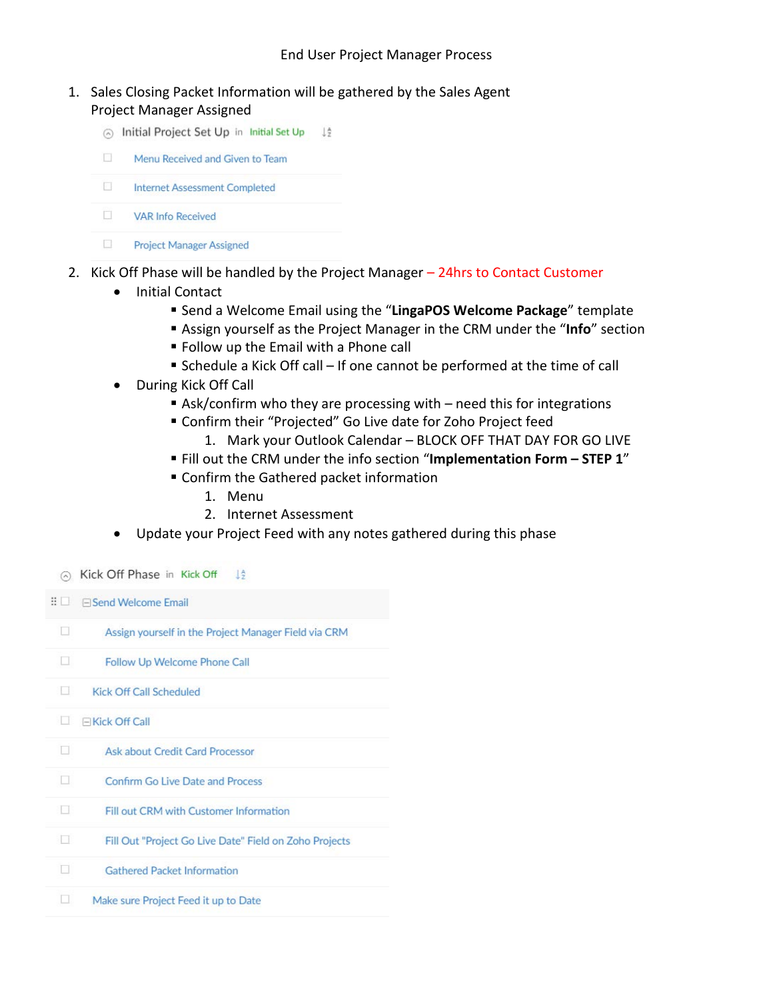- 1. Sales Closing Packet Information will be gathered by the Sales Agent Project Manager Assigned
	- nitial Project Set Up in Initial Set Up  $\frac{1}{2}$ Ð Menu Received and Given to Team E. **Internet Assessment Completed**  $\Box$ **VAR Info Received** 
		-
		- $\mathcal{C}$ **Project Manager Assigned**
- 2. Kick Off Phase will be handled by the Project Manager 24hrs to Contact Customer
	- Initial Contact
		- Send a Welcome Email using the "**LingaPOS Welcome Package**" template
		- Assign yourself as the Project Manager in the CRM under the "**Info**" section
		- **Follow up the Email with a Phone call**
		- Schedule a Kick Off call If one cannot be performed at the time of call
	- During Kick Off Call
		- Ask/confirm who they are processing with  $-$  need this for integrations
		- Confirm their "Projected" Go Live date for Zoho Project feed
			- 1. Mark your Outlook Calendar BLOCK OFF THAT DAY FOR GO LIVE
		- Fill out the CRM under the info section "**Implementation Form – STEP 1**"
		- Confirm the Gathered packet information
			- 1. Menu
			- 2. Internet Assessment
	- Update your Project Feed with any notes gathered during this phase

A Kick Off Phase in Kick Off  $1\frac{A}{2}$ : □ Bend Welcome Email  $\Box$ Assign yourself in the Project Manager Field via CRM  $\Box$ Follow Up Welcome Phone Call  $\Box$ **Kick Off Call Scheduled** E EKick Off Call  $\Box$ Ask about Credit Card Processor  $\Box$ Confirm Go Live Date and Process  $\Box$ Fill out CRM with Customer Information 口 Fill Out "Project Go Live Date" Field on Zoho Projects  $\Box$ **Gathered Packet Information**  $\Box$ Make sure Project Feed it up to Date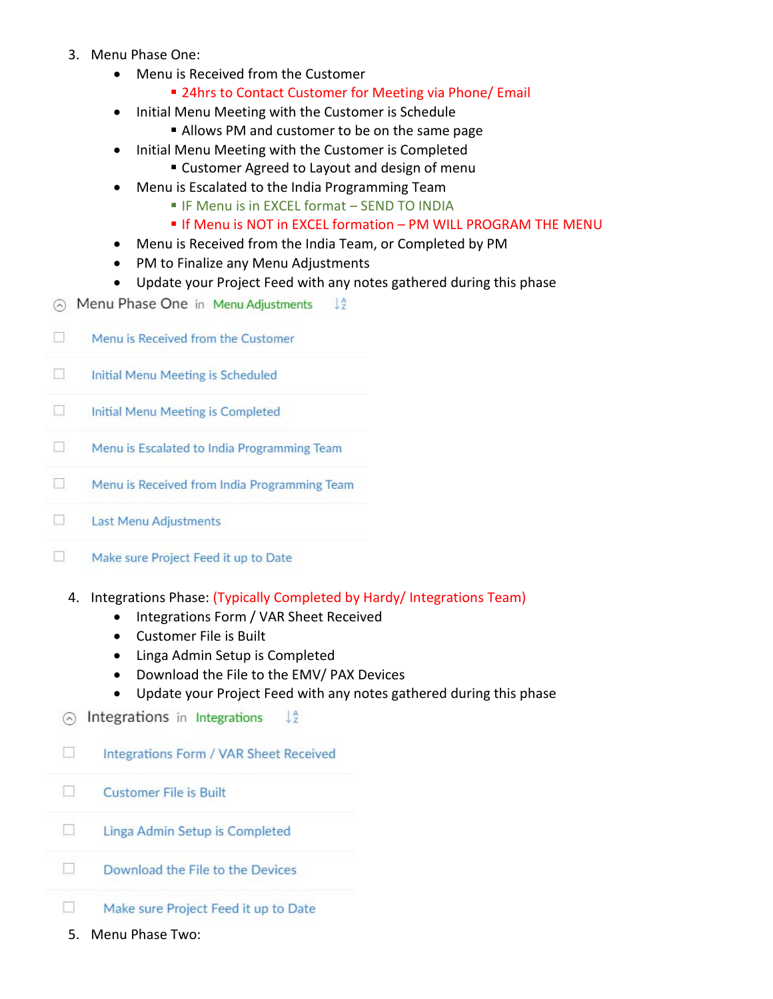- 3. Menu Phase One:
	- Menu is Received from the Customer
		- 24hrs to Contact Customer for Meeting via Phone/ Email
	- Initial Menu Meeting with the Customer is Schedule
		- Allows PM and customer to be on the same page
	- Initial Menu Meeting with the Customer is Completed
		- Customer Agreed to Layout and design of menu
	- Menu is Escalated to the India Programming Team
		- **IF Menu is in EXCEL format SEND TO INDIA**
		- **If Menu is NOT in EXCEL formation PM WILL PROGRAM THE MENU**
	- Menu is Received from the India Team, or Completed by PM
	- PM to Finalize any Menu Adjustments
	- Update your Project Feed with any notes gathered during this phase
- A Menu Phase One in Menu Adiustments  $\perp \frac{A}{2}$
- П Menu is Received from the Customer
- $\Box$ Initial Menu Meeting is Scheduled
- $\Box$ Initial Menu Meeting is Completed
- $\Box$ Menu is Escalated to India Programming Team
- $\Box$ Menu is Received from India Programming Team
- $\Box$ Last Menu Adjustments
- $\Box$ Make sure Project Feed it up to Date
	- 4. Integrations Phase: (Typically Completed by Hardy/ Integrations Team)
		- Integrations Form / VAR Sheet Received
		- Customer File is Built
		- Linga Admin Setup is Completed
		- Download the File to the EMV/ PAX Devices
		- Update your Project Feed with any notes gathered during this phase
	- $\odot$  Integrations in Integrations  $\frac{14}{7}$
	- П Integrations Form / VAR Sheet Received
	- П **Customer File is Built**
- П Linga Admin Setup is Completed
- П Download the File to the Devices
- □ Make sure Project Feed it up to Date
- 5. Menu Phase Two: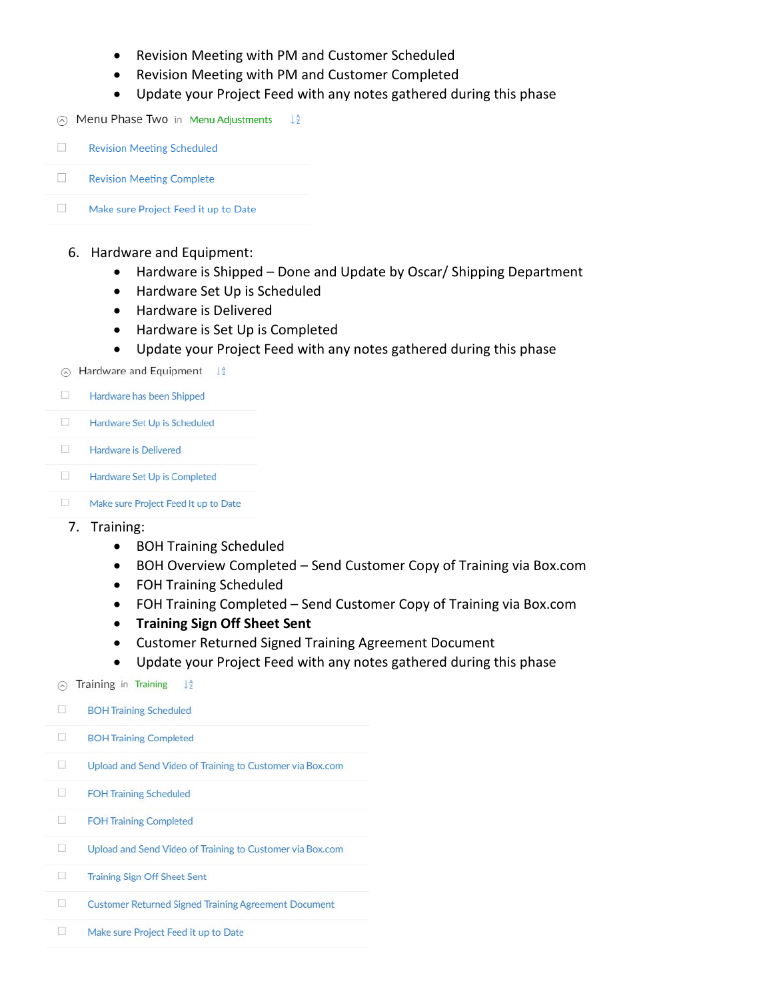- Revision Meeting with PM and Customer Scheduled
- Revision Meeting with PM and Customer Completed
- Update your Project Feed with any notes gathered during this phase
- $\odot$  Menu Phase Two in Menu Adjustments  $\downarrow^{\mathbb{A}}_2$



- 6. Hardware and Equipment:
	- Hardware is Shipped Done and Update by Oscar/ Shipping Department
	- Hardware Set Up is Scheduled
	- Hardware is Delivered
	- Hardware is Set Up is Completed
	- Update your Project Feed with any notes gathered during this phase
- $\odot$  Hardware and Equipment  $\downarrow$ <sup>2</sup>
- $\Box$ Hardware has been Shipped
- $\Box$ Hardware Set Up is Scheduled
- $\mathcal{L}_{\mathcal{A}}$ Hardware is Delivered
- $\mathcal{L}_{\mathcal{L}}$ Hardware Set Up is Completed
- $\Box$ Make sure Project Feed it up to Date

## 7. Training:

- BOH Training Scheduled
- BOH Overview Completed Send Customer Copy of Training via Box.com
- FOH Training Scheduled
- FOH Training Completed Send Customer Copy of Training via Box.com
- **Training Sign Off Sheet Sent**
- Customer Returned Signed Training Agreement Document
- notes gathered during this phase

| ᠗ | Training in Training<br>Už.                                 |
|---|-------------------------------------------------------------|
| □ | <b>BOH Training Scheduled</b>                               |
| Π | <b>BOH Training Completed</b>                               |
| B | Upload and Send Video of Training to Customer via Box.com   |
| □ | <b>FOH Training Scheduled</b>                               |
| □ | <b>FOH Training Completed</b>                               |
| π | Upload and Send Video of Training to Customer via Box.com   |
| o | <b>Training Sign Off Sheet Sent</b>                         |
| □ | <b>Customer Returned Signed Training Agreement Document</b> |
| o | Make sure Project Feed it up to Date                        |